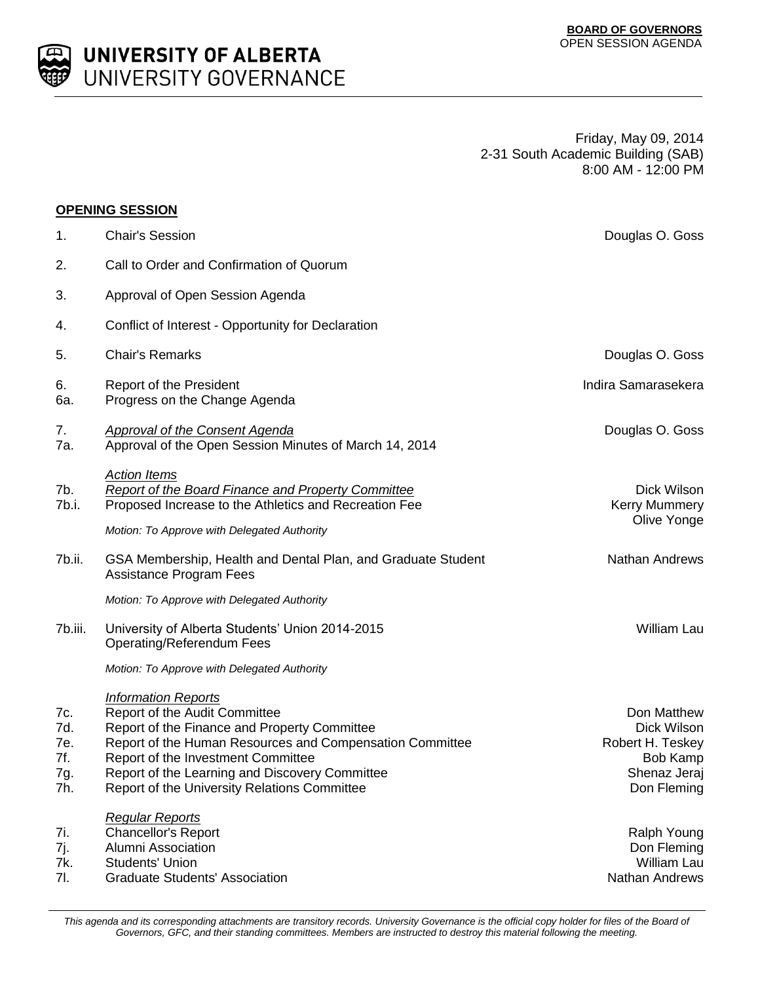

Friday, May 09, 2014 2-31 South Academic Building (SAB) 8:00 AM - 12:00 PM

## **OPENING SESSION**

| $\mathbf 1$ .                          | <b>Chair's Session</b>                                                                                                                                                                                                                                                                                          | Douglas O. Goss                                                                           |
|----------------------------------------|-----------------------------------------------------------------------------------------------------------------------------------------------------------------------------------------------------------------------------------------------------------------------------------------------------------------|-------------------------------------------------------------------------------------------|
| 2.                                     | Call to Order and Confirmation of Quorum                                                                                                                                                                                                                                                                        |                                                                                           |
| 3.                                     | Approval of Open Session Agenda                                                                                                                                                                                                                                                                                 |                                                                                           |
| 4.                                     | Conflict of Interest - Opportunity for Declaration                                                                                                                                                                                                                                                              |                                                                                           |
| 5.                                     | <b>Chair's Remarks</b>                                                                                                                                                                                                                                                                                          | Douglas O. Goss                                                                           |
| 6.<br>6a.                              | Report of the President<br>Progress on the Change Agenda                                                                                                                                                                                                                                                        | Indira Samarasekera                                                                       |
| 7.<br>7a.                              | <b>Approval of the Consent Agenda</b><br>Approval of the Open Session Minutes of March 14, 2014                                                                                                                                                                                                                 | Douglas O. Goss                                                                           |
| 7b.<br>7b.i.                           | <b>Action Items</b><br>Report of the Board Finance and Property Committee<br>Proposed Increase to the Athletics and Recreation Fee                                                                                                                                                                              | Dick Wilson<br><b>Kerry Mummery</b><br>Olive Yonge                                        |
|                                        | Motion: To Approve with Delegated Authority                                                                                                                                                                                                                                                                     |                                                                                           |
| 7b.ii.                                 | GSA Membership, Health and Dental Plan, and Graduate Student<br><b>Assistance Program Fees</b>                                                                                                                                                                                                                  | <b>Nathan Andrews</b>                                                                     |
|                                        | Motion: To Approve with Delegated Authority                                                                                                                                                                                                                                                                     |                                                                                           |
| 7b.iii.                                | University of Alberta Students' Union 2014-2015<br>Operating/Referendum Fees                                                                                                                                                                                                                                    | William Lau                                                                               |
|                                        | Motion: To Approve with Delegated Authority                                                                                                                                                                                                                                                                     |                                                                                           |
| 7c.<br>7d.<br>7e.<br>7f.<br>7g.<br>7h. | <b>Information Reports</b><br>Report of the Audit Committee<br>Report of the Finance and Property Committee<br>Report of the Human Resources and Compensation Committee<br>Report of the Investment Committee<br>Report of the Learning and Discovery Committee<br>Report of the University Relations Committee | Don Matthew<br>Dick Wilson<br>Robert H. Teskey<br>Bob Kamp<br>Shenaz Jeraj<br>Don Fleming |
| 7i.<br>7j.<br>7k.<br>7l.               | <b>Regular Reports</b><br><b>Chancellor's Report</b><br>Alumni Association<br><b>Students' Union</b><br><b>Graduate Students' Association</b>                                                                                                                                                                   | Ralph Young<br>Don Fleming<br>William Lau<br>Nathan Andrews                               |

This agenda and its corresponding attachments are transitory records. University Governance is the official copy holder for files of the Board of *Governors, GFC, and their standing committees. Members are instructed to destroy this material following the meeting.*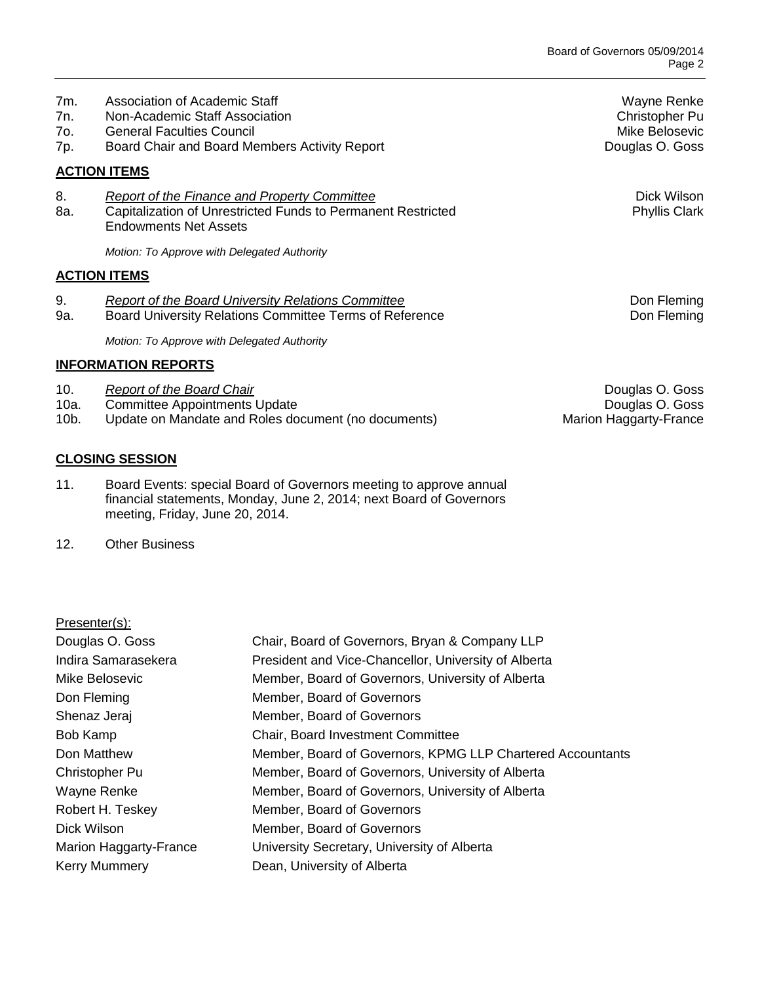| 7m.<br>7n.<br>7o.<br>7p. | Association of Academic Staff<br>Non-Academic Staff Association<br><b>General Faculties Council</b><br>Board Chair and Board Members Activity Report | Wayne Renke<br>Christopher Pu<br>Mike Belosevic<br>Douglas O. Goss |
|--------------------------|------------------------------------------------------------------------------------------------------------------------------------------------------|--------------------------------------------------------------------|
|                          | <b>ACTION ITEMS</b>                                                                                                                                  |                                                                    |
| 8.<br>8a.                | Report of the Finance and Property Committee<br>Capitalization of Unrestricted Funds to Permanent Restricted<br><b>Endowments Net Assets</b>         | Dick Wilson<br><b>Phyllis Clark</b>                                |
|                          | Motion: To Approve with Delegated Authority                                                                                                          |                                                                    |
|                          | <b>ACTION ITEMS</b>                                                                                                                                  |                                                                    |
| 9.<br>9а.                | Report of the Board University Relations Committee<br>Board University Relations Committee Terms of Reference                                        | Don Fleming<br>Don Fleming                                         |
|                          | Motion: To Approve with Delegated Authority                                                                                                          |                                                                    |

## **INFORMATION REPORTS**

- 10. **Report of the Board Chair Chair Chair Community Community Community Community Community Community Community Community Community Community Community Community Community Community Communi**
- 
- 10a. Committee Appointments Update<br>10b. Update on Mandate and Roles document (no documents) Marion Haggarty-France 10 b. Entertainment of process of the Update on Mandate and Roles document (no documents)

## **CLOSING SESSION**

- 11. Board Events: special Board of Governors meeting to approve annual financial statements, Monday, June 2, 2014; next Board of Governors meeting, Friday, June 20, 2014.
- 12. Other Business

## Presenter(s):

| Douglas O. Goss        | Chair, Board of Governors, Bryan & Company LLP             |
|------------------------|------------------------------------------------------------|
| Indira Samarasekera    | President and Vice-Chancellor, University of Alberta       |
| Mike Belosevic         | Member, Board of Governors, University of Alberta          |
| Don Fleming            | Member, Board of Governors                                 |
| Shenaz Jeraj           | Member, Board of Governors                                 |
| Bob Kamp               | Chair, Board Investment Committee                          |
| Don Matthew            | Member, Board of Governors, KPMG LLP Chartered Accountants |
| <b>Christopher Pu</b>  | Member, Board of Governors, University of Alberta          |
| Wayne Renke            | Member, Board of Governors, University of Alberta          |
| Robert H. Teskey       | Member, Board of Governors                                 |
| Dick Wilson            | Member, Board of Governors                                 |
| Marion Haggarty-France | University Secretary, University of Alberta                |
| <b>Kerry Mummery</b>   | Dean, University of Alberta                                |